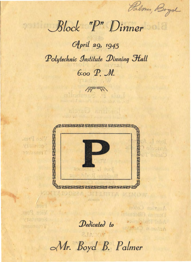Palmes, Bryd

nota) solvini

wobset boy Helse

sobrasil sonotras

Block "P" Dinner

April 29, 1945 Polytechnic Institute Dinning Hall 6:00 P. M.

伊永

STEMMENTER

weat? ball

Visuanos vonus kes T **August August** 



Dedicated to

Mr. Boyd B. Palmer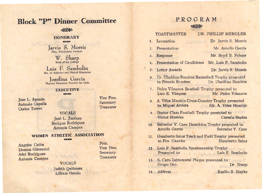# Block. *''P"* Dinner, Committee

#### **& #3#3**

#### HONORARY **KONSTANT**

Half av Jarvis S. Morris Pres. Polytechnic Institute

W. Sharp

Luis F. Sambolin Dir. of Athletics and Phisical Education

Josefina García<br>Physical Education Teacher for Girls

## **EXECUTIVE**

 $1.100$ 

Jose L. Aponte Antonio Capella Carlos Torres

Vice Pres. **Secretary Treasurer** 

## VOCALS

Jose L. Jimenez Benign0 Rodriguez Antonia Campos

## WOMEN ATHLETIC ASSOCIATION

Dealton led to

Angeles Co16n Donina Gilormini Adel Rodriguez Antonia Campos

.,

Pres. Vice Pres. **Secretary Treasurer** 

### VOCALS Judith Quiñones Lilliam Ocasio

PRO GRAM ~ *:,,,* 

## TOASTMASTER DR. PHILLIP MERGLER 1. Invocation Dr. Jarvis S. Morris 2. Presentation Mr. Astolfo García<br>
3. Response Mr. Boyd B. Palmer Mr. Boyd B. Palmer 4. Presentation of Candidates Mr. Luis F. Sambolín 5. Letter Awards Dr. Jarvis S. Morris 6. Dr'. tJbaldino Ramirez Basketball Trophy presented to Francis Ramirez Dr. Ubaldino Ramfrez 7. Pedro Vilanova Basebal1 Trophy presented to Luis E. Vázquez Mr. Pedro Vilanova 8. A. Velez Montijo Cross-Country Trophy presented to Miguel Arrieta Mr. A. Vélez Montijo 9. Senior Class Football Trophy presented to Víctor Morales Carmín Santos 10. Salvador V. Caro Decathlon Trophy presented to Astolfo Garcia . Salvador v.· Caro 11. Humberto Sainz Track and Field Trophy presented to Fco. Canales **· .** Humberto Sainz

- 12. Luis F. Sambolín Sportmanship Trophy Presented to . . . . . . . Luis F. Sambolin
- 13. S. Caro Intramural Plaque presented to resented Grupo Oro Dr. Sharp

14. Address **Emilio E. Huyke**